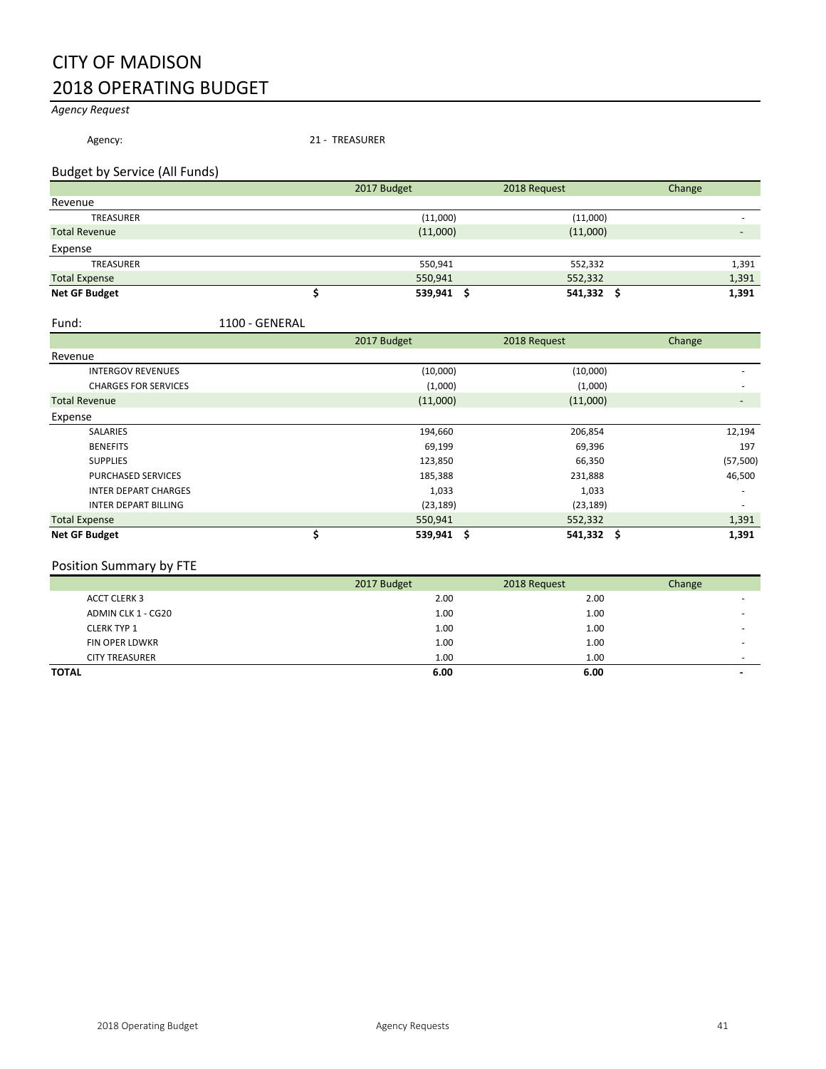# CITY OF MADISON 2018 OPERATING BUDGET

# *Agency Request*

Agency: 21 - TREASURER

### Budget by Service (All Funds)

|                      | 2017 Budget |          | 2018 Request | Change |
|----------------------|-------------|----------|--------------|--------|
| Revenue              |             |          |              |        |
| <b>TREASURER</b>     |             | (11,000) | (11,000)     |        |
| <b>Total Revenue</b> |             | (11,000) | (11,000)     |        |
| Expense              |             |          |              |        |
| TREASURER            |             | 550,941  | 552,332      | 1,391  |
| <b>Total Expense</b> |             | 550,941  | 552,332      | 1,391  |
| <b>Net GF Budget</b> |             | 539,941  | 541,332 \$   | 1,391  |

#### Fund: 1100 - GENERAL

|                             | 2017 Budget | 2018 Request         | Change    |
|-----------------------------|-------------|----------------------|-----------|
| Revenue                     |             |                      |           |
| <b>INTERGOV REVENUES</b>    | (10,000)    | (10,000)             |           |
| <b>CHARGES FOR SERVICES</b> | (1,000)     | (1,000)              |           |
| <b>Total Revenue</b>        | (11,000)    | (11,000)             |           |
| Expense                     |             |                      |           |
| <b>SALARIES</b>             | 194,660     | 206,854              | 12,194    |
| <b>BENEFITS</b>             | 69,199      | 69,396               | 197       |
| <b>SUPPLIES</b>             | 123,850     | 66,350               | (57, 500) |
| <b>PURCHASED SERVICES</b>   | 185,388     | 231,888              | 46,500    |
| <b>INTER DEPART CHARGES</b> | 1,033       | 1,033                |           |
| <b>INTER DEPART BILLING</b> | (23, 189)   | (23, 189)            |           |
| <b>Total Expense</b>        | 550,941     | 552,332              | 1,391     |
| <b>Net GF Budget</b>        | 539,941     | $541,332$ \$<br>- \$ | 1,391     |

# Position Summary by FTE

|                       | 2017 Budget | 2018 Request | Change |
|-----------------------|-------------|--------------|--------|
| <b>ACCT CLERK 3</b>   | 2.00        | 2.00         |        |
| ADMIN CLK 1 - CG20    | 1.00        | 1.00         |        |
| <b>CLERK TYP 1</b>    | 1.00        | 1.00         |        |
| <b>FIN OPER LDWKR</b> | 1.00        | 1.00         |        |
| <b>CITY TREASURER</b> | 1.00        | 1.00         | ۰      |
| <b>TOTAL</b>          | 6.00        | 6.00         |        |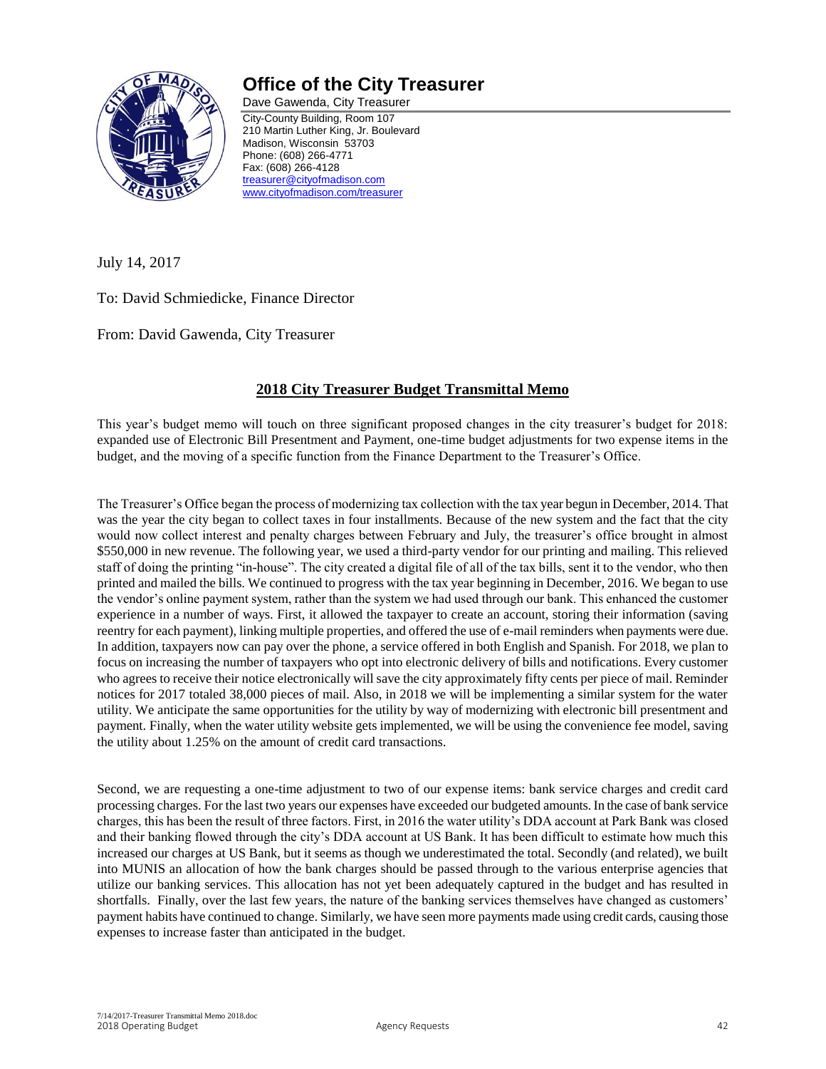

# **Office of the City Treasurer**

Dave Gawenda, City Treasurer City-County Building, Room 107 210 Martin Luther King, Jr. Boulevard Madison, Wisconsin 53703 Phone: (608) 266-4771 Fax: (608) 266-4128 [treasurer@cityofmadison.com](mailto:treasurer@cityofmadison.com) [www.cityofmadison.com/treasurer](http://www.cityofmadison.com/treasurer)

July 14, 2017

To: David Schmiedicke, Finance Director

From: David Gawenda, City Treasurer

# **2018 City Treasurer Budget Transmittal Memo**

This year's budget memo will touch on three significant proposed changes in the city treasurer's budget for 2018: expanded use of Electronic Bill Presentment and Payment, one-time budget adjustments for two expense items in the budget, and the moving of a specific function from the Finance Department to the Treasurer's Office.

The Treasurer's Office began the process of modernizing tax collection with the tax year begun in December, 2014. That was the year the city began to collect taxes in four installments. Because of the new system and the fact that the city would now collect interest and penalty charges between February and July, the treasurer's office brought in almost \$550,000 in new revenue. The following year, we used a third-party vendor for our printing and mailing. This relieved staff of doing the printing "in-house". The city created a digital file of all of the tax bills, sent it to the vendor, who then printed and mailed the bills. We continued to progress with the tax year beginning in December, 2016. We began to use the vendor's online payment system, rather than the system we had used through our bank. This enhanced the customer experience in a number of ways. First, it allowed the taxpayer to create an account, storing their information (saving reentry for each payment), linking multiple properties, and offered the use of e-mail reminders when payments were due. In addition, taxpayers now can pay over the phone, a service offered in both English and Spanish. For 2018, we plan to focus on increasing the number of taxpayers who opt into electronic delivery of bills and notifications. Every customer who agrees to receive their notice electronically will save the city approximately fifty cents per piece of mail. Reminder notices for 2017 totaled 38,000 pieces of mail. Also, in 2018 we will be implementing a similar system for the water utility. We anticipate the same opportunities for the utility by way of modernizing with electronic bill presentment and payment. Finally, when the water utility website gets implemented, we will be using the convenience fee model, saving the utility about 1.25% on the amount of credit card transactions.

Second, we are requesting a one-time adjustment to two of our expense items: bank service charges and credit card processing charges. For the last two years our expenses have exceeded our budgeted amounts. In the case of bank service charges, this has been the result of three factors. First, in 2016 the water utility's DDA account at Park Bank was closed and their banking flowed through the city's DDA account at US Bank. It has been difficult to estimate how much this increased our charges at US Bank, but it seems as though we underestimated the total. Secondly (and related), we built into MUNIS an allocation of how the bank charges should be passed through to the various enterprise agencies that utilize our banking services. This allocation has not yet been adequately captured in the budget and has resulted in shortfalls. Finally, over the last few years, the nature of the banking services themselves have changed as customers' payment habits have continued to change. Similarly, we have seen more payments made using credit cards, causing those expenses to increase faster than anticipated in the budget.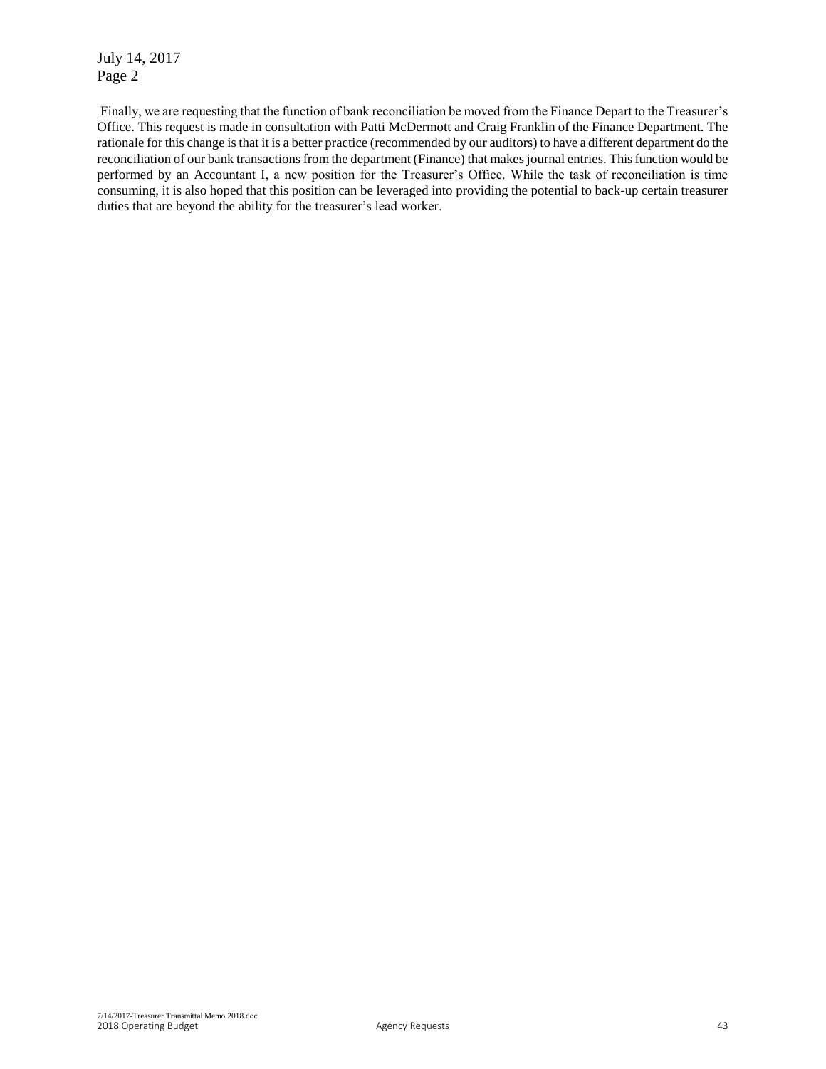July 14, 2017 Page 2

Finally, we are requesting that the function of bank reconciliation be moved from the Finance Depart to the Treasurer's Office. This request is made in consultation with Patti McDermott and Craig Franklin of the Finance Department. The rationale for this change is that it is a better practice (recommended by our auditors) to have a different department do the reconciliation of our bank transactions from the department (Finance) that makes journal entries. This function would be performed by an Accountant I, a new position for the Treasurer's Office. While the task of reconciliation is time consuming, it is also hoped that this position can be leveraged into providing the potential to back-up certain treasurer duties that are beyond the ability for the treasurer's lead worker.